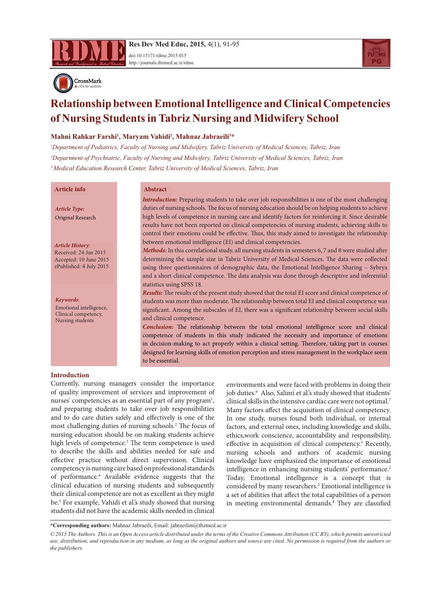

**Res Dev Med Educ, 2015,** 4(1), 91-95 doi[:10.15171/rdme.2015.01](http://dx.doi.org/10.15171/rdme.2015.015)5

<http://journals.tbzmed.ac.ir/rdme>



# **Relationship between Emotional Intelligence and Clinical Competencies of Nursing Students in Tabriz Nursing and Midwifery School**

# **Mahni Rahkar Farshi1 , Maryam Vahidi2 , Mahnaz Jabraeili3 \***

*1 Department of Pediatrics, Faculty of Nursing and Midwifery, Tabriz University of Medical Sciences, Tabriz, Iran 2 Department of Psychiatric, Faculty of Nursing and Midwifery, Tabriz University of Medical Sciences, Tabriz, Iran 3 Medical Education Research Center, Tabriz University of Medical Sciences, Tabriz, Iran*

## **Article info Abstract**

*Article Type:* Original Research

*Article History*: Received: 24 Jan 2015 Accepted: 10 June 2015 ePublished: 4 July 2015

*Keywords*: Emotional intelligence, Clinical competency, Nursing students

*Introduction:* Preparing students to take over job responsibilities is one of the most challenging duties of nursing schools. The focus of nursing education should be on helping students to achieve high levels of competence in nursing care and identify factors for reinforcing it. Since desirable results have not been reported on clinical competencies of nursing students, achieving skills to control their emotions could be effective. Thus, this study aimed to investigate the relationship between emotional intelligence (EI) and clinical competencies.

*Methods:* In this correlational study, all nursing students in semesters 6, 7 and 8 were studied after determining the sample size in Tabriz University of Medical Sciences. The data were collected using three questionnaires of demographic data, the Emotional Intelligence Sharing – Sybrya and a short clinical competence. The data analysis was done through descriptive and inferential statistics using SPSS 18.

*Results:* The results of the present study showed that the total EI score and clinical competence of students was more than moderate. The relationship between total EI and clinical competence was significant. Among the subscales of EI, there was a significant relationship between social skills and clinical competence.

*Conclusion:* The relationship between the total emotional intelligence score and clinical competence of students in this study indicated the necessity and importance of emotions in decision-making to act properly within a clinical setting. Therefore, taking part in courses designed for learning skills of emotion perception and stress management in the workplace seem to be essential.

#### **Introduction**

Currently, nursing managers consider the importance of quality improvement of services and improvement of nurses' competencies as an essential part of any program<sup>1</sup>, and preparing students to take over job responsibilities and to do care duties safely and effectively is one of the most challenging duties of nursing schools.2 The focus of nursing education should be on making students achieve high levels of competence.<sup>3</sup> The term competence is used to describe the skills and abilities needed for safe and effective practice without direct supervision. Clinical competency is nursing care based on professional standards of performance.4 Available evidence suggests that the clinical education of nursing students and subsequently their clinical competence are not as excellent as they might be.5 For example, Vahidi et al.'s study showed that nursing students did not have the academic skills needed in clinical

environments and were faced with problems in doing their job duties.<sup>6</sup> Also, Salimi et al.'s study showed that students' clinical skills in the intensive cardiac care were not optimal.7 Many factors affect the acquisition of clinical competency. In one study, nurses found both individual, or internal factors, and external ones, including knowledge and skills, ethics,work conscience, accountability and responsibility, effective in acquisition of clinical competency.<sup>3</sup> Recently, nursing schools and authors of academic nursing knowledge have emphasized the importance of emotional intelligence in enhancing nursing students' performance.<sup>2</sup> Today, Emotional intelligence is a concept that is considered by many researchers.<sup>2</sup> Emotional intelligence is a set of abilities that affect the total capabilities of a person in meeting environmental demands.<sup>8</sup> They are classified

**\*Corresponding authors:** Mahnaz Jabraeili, Email: jabraeilim@tbzmed.ac.ir

*<sup>© 2015</sup> The Authors. This is an Open Access article distributed under the terms of the Creative Commons Attribution (CC BY), which permits unrestricted use, distribution, and reproduction in any medium, as long as the original authors and source are cited. No permission is required from the authors or the publishers.*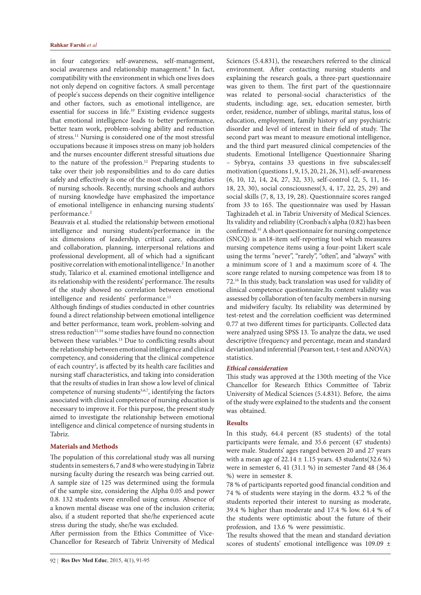in four categories: self-awareness, self-management, social awareness and relationship management.<sup>9</sup> In fact, compatibility with the environment in which one lives does not only depend on cognitive factors. A small percentage of people's success depends on their cognitive intelligence and other factors, such as emotional intelligence, are essential for success in life.10 Existing evidence suggests that emotional intelligence leads to better performance, better team work, problem-solving ability and reduction of stress.11 Nursing is considered one of the most stressful occupations because it imposes stress on many job holders and the nurses encounter different stressful situations due to the nature of the profession.<sup>12</sup> Preparing students to take over their job responsibilities and to do care duties safely and effectively is one of the most challenging duties of nursing schools. Recently, nursing schools and authors of nursing knowledge have emphasized the importance of emotional intelligence in enhancing nursing students' performance.<sup>2</sup>

Beauvais et al. studied the relationship between emotional intelligence and nursing students'performance in the six dimensions of leadership, critical care, education and collaboration, planning, interpersonal relations and professional development, all of which had a significant positive correlation with emotional intelligence.<sup>2</sup> In another study, Talarico et al. examined emotional intelligence and its relationship with the residents' performance. The results of the study showed no correlation between emotional intelligence and residents' performance.<sup>13</sup>

Although findings of studies conducted in other countries found a direct relationship between emotional intelligence and better performance, team work, problem-solving and stress reduction<sup>11,14</sup> some studies have found no connection between these variables.<sup>13</sup> Due to conflicting results about the relationship between emotional intelligence and clinical competency, and considering that the clinical competence of each country<sup>3</sup>, is affected by its health care facilities and nursing staff characteristics, and taking into consideration that the results of studies in Iran show a low level of clinical competence of nursing students<sup>5,6,7</sup>, identifying the factors associated with clinical competence of nursing education is necessary to improve it. For this purpose, the present study aimed to investigate the relationship between emotional intelligence and clinical competence of nursing students in Tabriz.

#### **Materials and Methods**

The population of this correlational study was all nursing students in semesters 6, 7 and 8 who were studying in Tabriz nursing faculty during the research was being carried out. A sample size of 125 was determined using the formula of the sample size, considering the Alpha 0.05 and power 0.8. 132 students were enrolled using census. Absence of a known mental disease was one of the inclusion criteria; also, if a student reported that she/he experienced acute stress during the study, she/he was excluded.

After permission from the Ethics Committee of Vice-Chancellor for Research of Tabriz University of Medical Sciences (5.4.831), the researchers referred to the clinical environment. After contacting nursing students and explaining the research goals, a three-part questionnaire was given to them. The first part of the questionnaire was related to personal-social characteristics of the students, including: age, sex, education semester, birth order, residence, number of siblings, marital status, loss of education, employment, family history of any psychiatric disorder and level of interest in their field of study. The second part was meant to measure emotional intelligence, and the third part measured clinical competencies of the students. Emotional Intelligence Questionnaire Sharing – Sybrya, contains 33 questions in five subscales:self motivation (questions 1, 9, 15, 20, 21, 26, 31), self-awareness (6, 10, 12, 14, 24, 27, 32, 33), self-control (2, 5, 11, 16- 18, 23, 30), social consciousness(3, 4, 17, 22, 25, 29) and social skills (7, 8, 13, 19, 28). Questionnaire scores ranged from 33 to 165. The questionnaire was used by Hassan Taghizadeh et al. in Tabriz University of Medical Sciences. Its validity and reliability (Cronbach's alpha (0.82) has been confirmed.15 A short questionnaire for nursing competence (SNCQ) is an18-item self-reporting tool which measures nursing competence items using a four-point Likert scale using the terms "never", "rarely", "often", and "always" with a minimum score of 1 and a maximum score of 4. The score range related to nursing competence was from 18 to 72.16 In this study, back translation was used for validity of clinical competence questionnaire.Its content validity was assessed by collaboration of ten faculty members in nursing and midwifery faculty. Its reliability was determined by test-retest and the correlation coefficient was determined 0.77 at two different times for participants. Collected data were analyzed using SPSS 13. To analyze the data, we used descriptive (frequency and percentage, mean and standard deviation)and inferential (Pearson test, t-test and ANOVA) statistics.

#### *Ethical consideration*

This study was approved at the 130th meeting of the Vice Chancellor for Research Ethics Committee of Tabriz University of Medical Sciences (5.4.831). Before, the aims of the study were explained to the students and the consent was obtained.

# **Results**

In this study, 64.4 percent (85 students) of the total participants were female, and 35.6 percent (47 students) were male. Students' ages ranged between 20 and 27 years with a mean age of  $22.14 \pm 1.15$  years. 43 students(32.6 %) were in semester 6, 41 (31.1 %) in semester 7and 48 (36.4 %) were in semester 8.

78 % of participants reported good financial condition and 74 % of students were staying in the dorm. 43.2 % of the students reported their interest to nursing as moderate, 39.4 % higher than moderate and 17.4 % low. 61.4 % of the students were optimistic about the future of their profession, and 13.6 % were pessimistic.

The results showed that the mean and standard deviation scores of students' emotional intelligence was 109.09 ±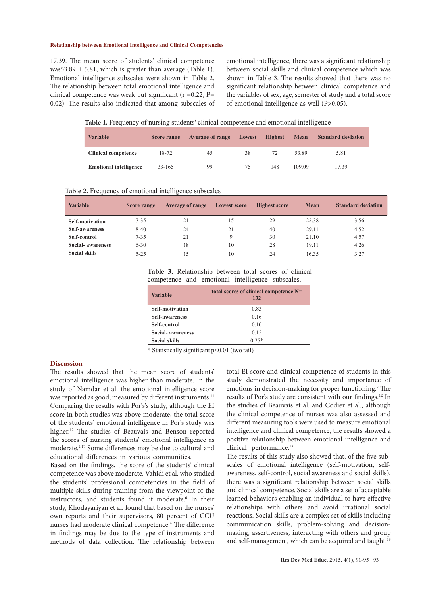17.39. The mean score of students' clinical competence was53.89  $\pm$  5.81, which is greater than average (Table 1). Emotional intelligence subscales were shown in Table 2. The relationship between total emotional intelligence and clinical competence was weak but significant ( $r = 0.22$ ,  $P=$ 0.02). The results also indicated that among subscales of emotional intelligence, there was a significant relationship between social skills and clinical competence which was shown in Table 3. The results showed that there was no significant relationship between clinical competence and the variables of sex, age, semester of study and a total score of emotional intelligence as well (P>0.05).

**Table 1.** Frequency of nursing students' clinical competence and emotional intelligence

| <b>Variable</b>               | <b>Score range</b> | <b>Average of range</b> | Lowest | <b>Highest</b> | Mean   | <b>Standard deviation</b> |
|-------------------------------|--------------------|-------------------------|--------|----------------|--------|---------------------------|
| <b>Clinical competence</b>    | 18-72              | 45                      | 38     | 72             | 53.89  | 5.81                      |
| <b>Emotional intelligence</b> | 33-165             | 99                      | 75     | 148            | 109.09 | 17.39                     |

|  |  | Table 2. Frequency of emotional intelligence subscales |
|--|--|--------------------------------------------------------|
|--|--|--------------------------------------------------------|

| <b>Variable</b>          | Score range | <b>Average of range</b> | <b>Lowest score</b> | <b>Highest score</b> | Mean  | <b>Standard deviation</b> |
|--------------------------|-------------|-------------------------|---------------------|----------------------|-------|---------------------------|
| Self-motivation          | $7 - 35$    | 21                      | 15                  | 29                   | 22.38 | 3.56                      |
| <b>Self-awareness</b>    | $8-40$      | 24                      | 21                  | 40                   | 29.11 | 4.52                      |
| Self-control             | $7 - 35$    | 21                      | 9                   | 30                   | 21.10 | 4.57                      |
| <b>Social-</b> awareness | $6 - 30$    | 18                      | 10                  | 28                   | 19.11 | 4.26                      |
| <b>Social skills</b>     | $5 - 25$    | 15                      | 10                  | 24                   | 16.35 | 3.27                      |

| Table 3. Relationship between total scores of clinical |  |  |  |  |  |
|--------------------------------------------------------|--|--|--|--|--|
| competence and emotional intelligence subscales.       |  |  |  |  |  |

| <b>Variable</b>          | total scores of clinical competence N=<br>132 |
|--------------------------|-----------------------------------------------|
| <b>Self-motivation</b>   | 0.83                                          |
| <b>Self-awareness</b>    | 0.16                                          |
| Self-control             | 0.10                                          |
| <b>Social-</b> awareness | 0.15                                          |
| <b>Social skills</b>     | $0.25*$                                       |

\* Statistically significant p<0.01 (two tail)

### **Discussion**

The results showed that the mean score of students' emotional intelligence was higher than moderate. In the study of Namdar et al. the emotional intelligence score was reported as good, measured by different instruments.<sup>11</sup> Comparing the results with Por's's study, although the EI score in both studies was above moderate, the total score of the students' emotional intelligence in Por's study was higher.<sup>12</sup> The studies of Beauvais and Benson reported the scores of nursing students' emotional intelligence as moderate.2,17 Some differences may be due to cultural and educational differences in various communities.

Based on the findings, the score of the students' clinical competence was above moderate. Vahidi et al. who studied the students' professional competencies in the field of multiple skills during training from the viewpoint of the instructors, and students found it moderate.<sup>6</sup> In their study, Khodayariyan et al. found that based on the nurses' own reports and their supervisors, 80 percent of CCU nurses had moderate clinical competence.<sup>4</sup> The difference in findings may be due to the type of instruments and methods of data collection. The relationship between

total EI score and clinical competence of students in this study demonstrated the necessity and importance of emotions in decision-making for proper functioning.<sup>2</sup> The results of Por's study are consistent with our findings.12 In the studies of Beauvais et al. and Codier et al., although the clinical competence of nurses was also assessed and different measuring tools were used to measure emotional intelligence and clinical competence, the results showed a positive relationship between emotional intelligence and clinical performance.<sup>18</sup>

The results of this study also showed that, of the five subscales of emotional intelligence (self-motivation, selfawareness, self-control, social awareness and social skills), there was a significant relationship between social skills and clinical competence. Social skills are a set of acceptable learned behaviors enabling an individual to have effective relationships with others and avoid irrational social reactions. Social skills are a complex set of skills including communication skills, problem-solving and decisionmaking, assertiveness, interacting with others and group and self-management, which can be acquired and taught.<sup>19</sup>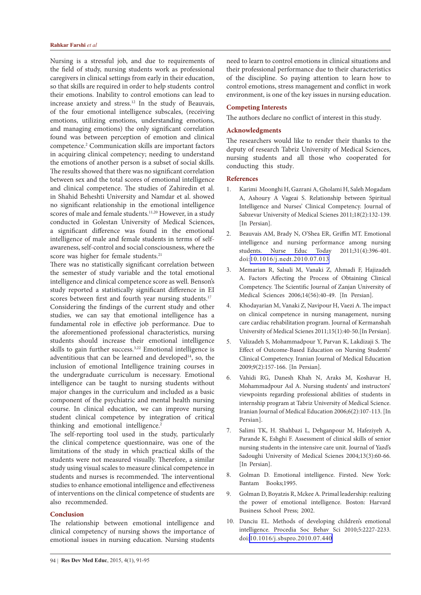Nursing is a stressful job, and due to requirements of the field of study, nursing students work as professional caregivers in clinical settings from early in their education, so that skills are required in order to help students control their emotions. Inability to control emotions can lead to increase anxiety and stress.12 In the study of Beauvais, of the four emotional intelligence subscales, (receiving emotions, utilizing emotions, understanding emotions, and managing emotions) the only significant correlation found was between perception of emotion and clinical competence.2 Communication skills are important factors in acquiring clinical competency; needing to understand the emotions of another person is a subset of social skills. The results showed that there was no significant correlation between sex and the total scores of emotional intelligence and clinical competence. The studies of Zahiredin et al. in Shahid Beheshti University and Namdar et al. showed no significant relationship in the emotional intelligence scores of male and female students.<sup>11,20</sup> However, in a study conducted in Golestan University of Medical Sciences, a significant difference was found in the emotional intelligence of male and female students in terms of selfawareness, self-control and social consciousness, where the score was higher for female students.<sup>21</sup>

There was no statistically significant correlation between the semester of study variable and the total emotional intelligence and clinical competence score as well. Benson's study reported a statistically significant difference in EI scores between first and fourth year nursing students.<sup>17</sup>

Considering the findings of the current study and other studies, we can say that emotional intelligence has a fundamental role in effective job performance. Due to the aforementioned professional characteristics, nursing students should increase their emotional intelligence skills to gain further success.<sup>3,22</sup> Emotional intelligence is adventitious that can be learned and developed<sup>14</sup>, so, the inclusion of emotional Intelligence training courses in the undergraduate curriculum is necessary. Emotional intelligence can be taught to nursing students without major changes in the curriculum and included as a basic component of the psychiatric and mental health nursing course. In clinical education, we can improve nursing student clinical competence by integration of critical thinking and emotional intelligence.<sup>2</sup>

The self-reporting tool used in the study, particularly the clinical competence questionnaire, was one of the limitations of the study in which practical skills of the students were not measured visually. Therefore, a similar study using visual scales to measure clinical competence in students and nurses is recommended. The interventional studies to enhance emotional intelligence and effectiveness of interventions on the clinical competence of students are also recommended.

# **Conclusion**

The relationship between emotional intelligence and clinical competency of nursing shows the importance of emotional issues in nursing education. Nursing students need to learn to control emotions in clinical situations and their professional performance due to their characteristics of the discipline. So paying attention to learn how to control emotions, stress management and conflict in work environment, is one of the key issues in nursing education.

#### **Competing Interests**

The authors declare no conflict of interest in this study.

# **Acknowledgments**

The researchers would like to render their thanks to the deputy of research Tabriz University of Medical Sciences, nursing students and all those who cooperated for conducting this study.

#### **References**

- 1. Karimi Moonghi H, Gazrani A, Gholami H, Saleh Mogadam A, Ashoury A Vageai S. Relationship between Spiritual Intelligence and Nurses' Clinical Competency. Journal of Sabzevar University of Medical Scienes 2011;18(2):132-139. [In Persian].
- 2. Beauvais AM, Brady N, O'Shea ER, Griffin MT. Emotional intelligence and nursing performance among nursing students. Nurse Educ Today 2011;31(4):396-401. doi:[10.1016/j.nedt.2010.07.013](http://dx.doi.org/10.1016/j.nedt.2010.07.013)
- 3. Memarian R, Salsali M, Vanaki Z, Ahmadi F, Hajizadeh A. Factors Affecting the Process of Obtaining Clinical Competency. The Scientific Journal of Zanjan University of Medical Sciences 2006;14(56):40-49. [In Persian].
- 4. Khodayarian M, Vanaki Z, Navipour H, Vaezi A. The impact on clinical competence in nursing management, nursing care cardiac rehabilitation program. Journal of Kermanshah University of Medical Scienes 2011;15(1):40-50.[In Persian].
- 5. Valizadeh S, Mohammadpour Y, Parvan K, Lakdizaji S. The Effect of Outcome-Based Education on Nursing Students' Clinical Competency. Iranian Journal of Medical Education 2009;9(2):157-166. [In Persian].
- 6. Vahidi RG, Danesh Khah N, Araks M, Koshavar H, Mohammadpour Asl A. Nursing students' and instructors' viewpoints regarding professional abilities of students in internship program at Tabriz University of Medical Science. Iranian Journal of Medical Education 2006;6(2):107-113. [In Persian].
- 7. Salimi TK, H. Shahbazi L, Dehganpour M, Hafeziyeh A, Parande K, Eshghi F. Assessment of clinical skills of senior nursing students in the intensive care unit. Journal of Yazd's Sadoughi University of Medical Scienes 2004;13(3):60-66. [In Persian].
- 8. Golman D. Emotional intelligence. Firsted. New York: Bantam Books;1995.
- 9. Golman D, Boyatzis R, Mckee A. Primal leadership: realizing the power of emotional intelligence. Boston: Harvard Business School Press; 2002.
- 10. Danciu EL. Methods of developing children's emotional intelligence. Procedia Soc Behav Sci 2010;5:2227-2233. doi:[10.1016/j.sbspro.2010.07.440](http://dx.doi.org/10.1016/j.sbspro.2010.07.440)